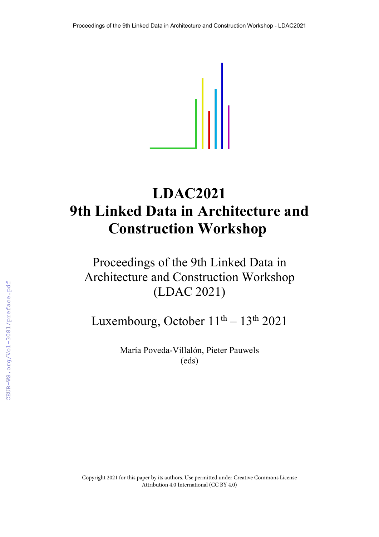

# **LDAC2021 9th Linked Data in Architecture and Construction Workshop**

## Proceedings of the 9th Linked Data in Architecture and Construction Workshop (LDAC 2021)

Luxembourg, October  $11<sup>th</sup> - 13<sup>th</sup> 2021$ 

María Poveda-Villalón, Pieter Pauwels (eds)

Copyright 2021 for this paper by its authors. Use permitted under Creative Commons License Attribution 4.0 International (CC BY 4.0)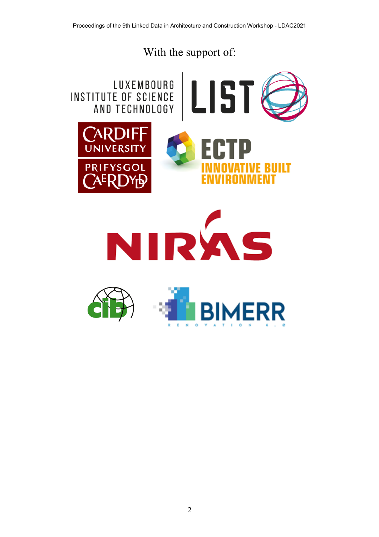## With the support of:



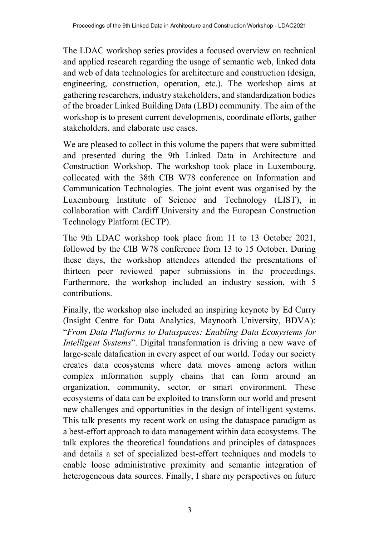The LDAC workshop series provides a focused overview on technical and applied research regarding the usage of semantic web, linked data and web of data technologies for architecture and construction (design, engineering, construction, operation, etc.). The workshop aims at gathering researchers, industry stakeholders, and standardization bodies of the broader Linked Building Data (LBD) community. The aim of the workshop is to present current developments, coordinate efforts, gather stakeholders, and elaborate use cases.

We are pleased to collect in this volume the papers that were submitted and presented during the 9th Linked Data in Architecture and Construction Workshop. The workshop took place in Luxembourg, collocated with the 38th CIB W78 conference on Information and Communication Technologies. The joint event was organised by the Luxembourg Institute of Science and Technology (LIST), in collaboration with Cardiff University and the European Construction Technology Platform (ECTP).

The 9th LDAC workshop took place from 11 to 13 October 2021, followed by the CIB W78 conference from 13 to 15 October. During these days, the workshop attendees attended the presentations of thirteen peer reviewed paper submissions in the proceedings. Furthermore, the workshop included an industry session, with 5 contributions.

Finally, the workshop also included an inspiring keynote by Ed Curry (Insight Centre for Data Analytics, Maynooth University, BDVA): "*From Data Platforms to Dataspaces: Enabling Data Ecosystems for Intelligent Systems*". Digital transformation is driving a new wave of large-scale datafication in every aspect of our world. Today our society creates data ecosystems where data moves among actors within complex information supply chains that can form around an organization, community, sector, or smart environment. These ecosystems of data can be exploited to transform our world and present new challenges and opportunities in the design of intelligent systems. This talk presents my recent work on using the dataspace paradigm as a best-effort approach to data management within data ecosystems. The talk explores the theoretical foundations and principles of dataspaces and details a set of specialized best-effort techniques and models to enable loose administrative proximity and semantic integration of heterogeneous data sources. Finally, I share my perspectives on future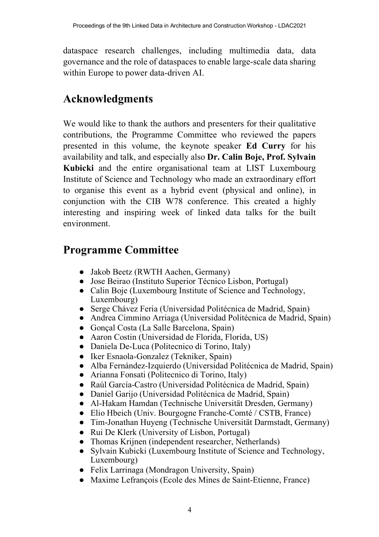dataspace research challenges, including multimedia data, data governance and the role of dataspaces to enable large-scale data sharing within Europe to power data-driven AI.

#### **Acknowledgments**

We would like to thank the authors and presenters for their qualitative contributions, the Programme Committee who reviewed the papers presented in this volume, the keynote speaker **Ed Curry** for his availability and talk, and especially also **Dr. Calin Boje, Prof. Sylvain Kubicki** and the entire organisational team at LIST Luxembourg Institute of Science and Technology who made an extraordinary effort to organise this event as a hybrid event (physical and online), in conjunction with the CIB W78 conference. This created a highly interesting and inspiring week of linked data talks for the built environment.

#### **Programme Committee**

- Jakob Beetz (RWTH Aachen, Germany)
- Jose Beirao (Instituto Superior Técnico Lisbon, Portugal)
- Calin Boje (Luxembourg Institute of Science and Technology, Luxembourg)
- Serge Chávez Feria (Universidad Politécnica de Madrid, Spain)
- Andrea Cimmino Arriaga (Universidad Politécnica de Madrid, Spain)
- Gonçal Costa (La Salle Barcelona, Spain)
- Aaron Costin (Universidad de Florida, Florida, US)
- Daniela De-Luca (Politecnico di Torino, Italy)
- Iker Esnaola-Gonzalez (Tekniker, Spain)
- Alba Fernández-Izquierdo (Universidad Politécnica de Madrid, Spain)
- Arianna Fonsati (Politecnico di Torino, Italy)
- Raúl García-Castro (Universidad Politécnica de Madrid, Spain)
- Daniel Garijo (Universidad Politécnica de Madrid, Spain)
- Al-Hakam Hamdan (Technische Universität Dresden, Germany)
- Elio Hbeich (Univ. Bourgogne Franche-Comté / CSTB, France)
- Tim-Jonathan Huyeng (Technische Universität Darmstadt, Germany)
- Rui De Klerk (University of Lisbon, Portugal)
- Thomas Krijnen (independent researcher, Netherlands)
- Sylvain Kubicki (Luxembourg Institute of Science and Technology, Luxembourg)
- Felix Larrinaga (Mondragon University, Spain)
- Maxime Lefrançois (Ecole des Mines de Saint-Etienne, France)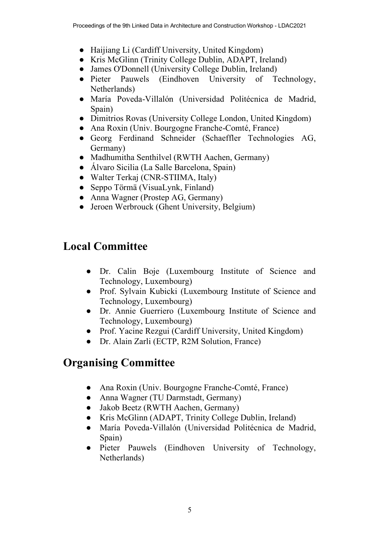- Haijiang Li (Cardiff University, United Kingdom)
- Kris McGlinn (Trinity College Dublin, ADAPT, Ireland)
- James O'Donnell (University College Dublin, Ireland)
- Pieter Pauwels (Eindhoven University of Technology, Netherlands)
- María Poveda-Villalón (Universidad Politécnica de Madrid, Spain)
- Dimitrios Rovas (University College London, United Kingdom)
- Ana Roxin (Univ. Bourgogne Franche-Comté, France)
- Georg Ferdinand Schneider (Schaeffler Technologies AG, Germany)
- Madhumitha Senthilvel (RWTH Aachen, Germany)
- Álvaro Sicilia (La Salle Barcelona, Spain)
- Walter Terkaj (CNR-STIIMA, Italy)
- Seppo Törmä (VisuaLynk, Finland)
- Anna Wagner (Prostep AG, Germany)
- Jeroen Werbrouck (Ghent University, Belgium)

## **Local Committee**

- Dr. Calin Boje (Luxembourg Institute of Science and Technology, Luxembourg)
- Prof. Sylvain Kubicki (Luxembourg Institute of Science and Technology, Luxembourg)
- Dr. Annie Guerriero (Luxembourg Institute of Science and Technology, Luxembourg)
- Prof. Yacine Rezgui (Cardiff University, United Kingdom)
- Dr. Alain Zarli (ECTP, R2M Solution, France)

### **Organising Committee**

- Ana Roxin (Univ. Bourgogne Franche-Comté, France)
- Anna Wagner (TU Darmstadt, Germany)
- Jakob Beetz (RWTH Aachen, Germany)
- Kris McGlinn (ADAPT, Trinity College Dublin, Ireland)
- María Poveda-Villalón (Universidad Politécnica de Madrid, Spain)
- Pieter Pauwels (Eindhoven University of Technology, Netherlands)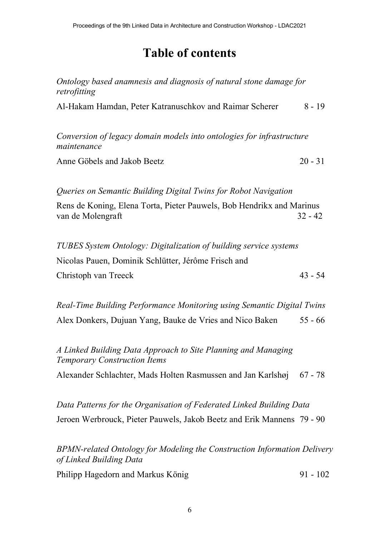## **Table of contents**

*Ontology based anamnesis and diagnosis of natural stone damage for retrofitting* 

Al-Hakam Hamdan, Peter Katranuschkov and Raimar Scherer 8 - 19

*Conversion of legacy domain models into ontologies for infrastructure maintenance*

Anne Göbels and Jakob Beetz 20 - 31

*Queries on Semantic Building Digital Twins for Robot Navigation*

Rens de Koning, Elena Torta, Pieter Pauwels, Bob Hendrikx and Marinus van de Molengraft 32 - 42

*TUBES System Ontology: Digitalization of building service systems* Nicolas Pauen, Dominik Schlütter, Jérôme Frisch and Christoph van Treeck 43 - 54

*Real-Time Building Performance Monitoring using Semantic Digital Twins* Alex Donkers, Dujuan Yang, Bauke de Vries and Nico Baken 55 - 66

*A Linked Building Data Approach to Site Planning and Managing Temporary Construction Items*

Alexander Schlachter, Mads Holten Rasmussen and Jan Karlshøj 67 - 78

*Data Patterns for the Organisation of Federated Linked Building Data* Jeroen Werbrouck, Pieter Pauwels, Jakob Beetz and Erik Mannens 79 - 90

*BPMN-related Ontology for Modeling the Construction Information Delivery of Linked Building Data*

Philipp Hagedorn and Markus König 91 - 102